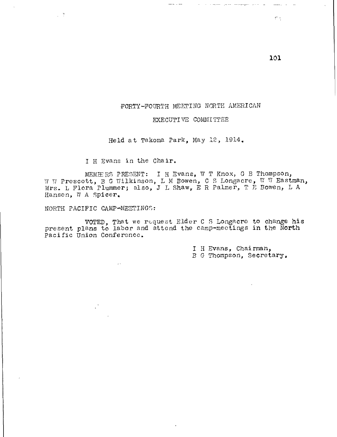## FORTY-FOURTH MEETING NORTH AMERICAN

## EXECUTIVE COMMITTEE

Held at Takoma Park, May 12, 1914,

 $\frac{1}{2} \frac{1}{2} \frac{1}{2} \frac{1}{2} \frac{1}{2} \frac{1}{2} \frac{1}{2} \frac{1}{2} \frac{1}{2} \frac{1}{2} \frac{1}{2} \frac{1}{2} \frac{1}{2} \frac{1}{2} \frac{1}{2} \frac{1}{2} \frac{1}{2} \frac{1}{2} \frac{1}{2} \frac{1}{2} \frac{1}{2} \frac{1}{2} \frac{1}{2} \frac{1}{2} \frac{1}{2} \frac{1}{2} \frac{1}{2} \frac{1}{2} \frac{1}{2} \frac{1}{2} \frac{1}{2} \frac{$ 

I H Evans in the Chair.

MEMBERS PRESENT: I H Evans, W T Knox, G B Thompson, W W Prescott, B G Wilkinson, L M Bowen, C S Longacre, W W Eastman, Mrs. L Flora Plummer; also, J L Shaw, E R Palmer, T P Bowen, L A Hansen, W A Spicer.

NORTH PACIFIC CAMP-MEETINGS:

VI.

VOTED, That we request Elder C S Longacre to change his present plans to labor and attend the camp-meetings in the North pacific Union Conference.

> I H Evans, Chairman, B G Thompson, Secretary,

e,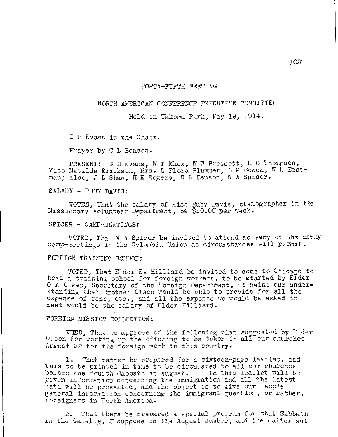### FORTY—FIFTH MEETING

## NORTH AMERICAN CONFERENCE EXECUTIVE COMMITTEE

Held in Takoma Park, May 19, 1914.

I H Evans in the Chair.

Prayer by C L Benson.

PRESENT: I H Evans, W T Knox, W W Prescott, B G Thompson, Miss Matilda Erickson, Mrs. L Flora Plummer, L M Bowen, W W Eastman; also, J L Shaw, H E Rogers, C L Benson, W A Spicer.

SALARY — RUBY DAVIS:

VOTED, That the salary of Miss Ruby Davis, stenographer in the Missionary Volunteer Department, be \$10.00 per week.

SPICER — CAMP—MEETINGS:

VOTED, That W A Spicer be invited to attend as many of the early camp—meetings in the Columbia Union as circumstances will permit.

FOREIGN TRAINING SCHOOL:

VOTED, That Elder E. Hilliard be invited to come to Chicago to head a training school for foreign workers, to be started by Elder 0 A Olsen, Secretary of the Foreign Department, it being our under standing that Brother Olsen would be able to provide for all the expense of rent, etc., and all the expense we would be asked to meet would be the salary of Elder Hilliard.

## FOREIGN MISSION COLLECTION:

VOED, That we approve of the following plan suggested by Elder Olsen for working up the offering to be taken in all our churches August 22 for the foreign work in this country.

1. That matter be prepared for a sixteen-page leaflet, and this to be printed in time to be circulated to all our churches before the fourth Sabbath in August. In this leaflet will be given information concerning the immigration and all the latest data will be presented, and the object is to give our people general information concerning the immigrant question, or rather, foreigners in North America.

a. That there be prepared a special program for that Sabbath in the Gazette, I suppose in the August number, and the matter set

Ica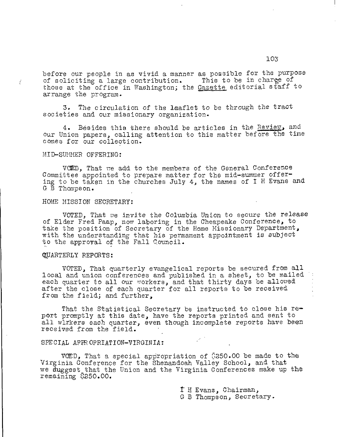before our people in as vivid a manner as possible for the purpose<br>of soliciting a large contribution. This to be in charge of of soliciting a large contribution. those at the office in Washington; the Gazette editorial staff to arrange the program.

3. The circulation of the leaflet to be through the tract societies and our missionary organization.

4. Besides this there should be articles in the Review, and our Union papers, calling attention to this matter before the time comes for our collection.

#### MID-SUMMER OFFERING:

 $\vec{\xi}$ 

VOMD, That we add to the members of the General Conference Committee appointed to prepare matter for the mid-summer offering to be taken in the churches July 4, the names of I H Evans and G B Thompson.

#### HOME MISSION SECRETARY:

VOTED, That we invite the Columbia Union to secure the release of Elder Fred Paap, now laboring in the Cheapeake Conference, to take the position of Secretary of the Home Missionary Department, with the understanding that his permament appointment is subject to the approval of the Fall Gouncil.

## QUARTERLY REPORTS:

VOTED, That quarterly evangelical reports be secured from all local and union conferences and published in a sheet, to be mailed each quarter to all our workers, and that thirty days be allowed after the close of each quarter for all reports to be received from the field; and further,

That the Statistical Secretary be instructed to close his report promptly at this date, have the reports printed and sent to all wlrkers each quarter, even though incomplete reports have been received from the field.

#### SPECIAL APPROPRIATION-VIRGINIA:

VOED, That a special appropriation of  $\$250.00$  be made to the Virginia Conference for the Shenandoah Valley School, and that we duggest that the Union and the Virginia Conferences make up the remaining \$250.00.

t H Evans, Chairman,

G B Thompson, Secretary.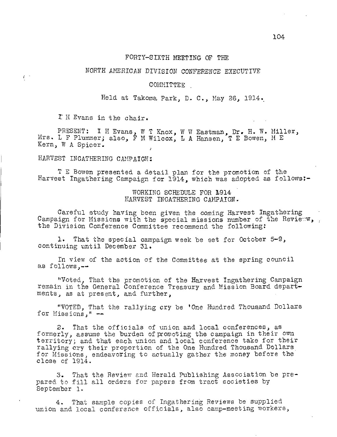### FORTY-SIXTH MEETING OF THE

# NORTH AMERICAN DIVISION CONFERENCE EXECUTIVE

### COMMITTEE

Held at Takoma Park, D. C., May 26, 1914.

I H Evans in the chair.

 $\int_0^{+\infty}$ 

PRESENT: I H Evans, W T Knox, W W Eastman, Dr. H. W. Miller, Mrs. L F Plummer; also, F M Wilcox, L A Hansen, T E Bowen, H E Kern, W A Spicer.

# HARVEST INCATHERING CAMPAIGN:

T E Bowen presented a detail plan for the promotion of the Harvest Ingathering Campaign for 1914, which was adopted as follows:-

# WORKING SCHEDULE FOR 1914 HARVEST INGATHERING CAMPAIGN.

Careful study having been given the coming Harvest Ingathering Campaign for Missions with the special missions number of the Review, the Division Conference Committee recommend the following:

1. That the special campaign week be set for October 5-9, continuing until December 31.

En view of the action of the Committee at the spring council as follows, $--$ 

"Voted, That the promotion of the Harvest Ingathering Campaign remain in the General Conference Treasury and Mission Board departments, as at present, and further,

"VOTED, That the rallying cry be tone Hundred Thousand Dollars for Missions," --

2. That the officials of union and local conferences, as formerly, assume the burden of promoting the campaign in their own territory; and that each union and local conference take for their rallying cry their proportion of the One Hundred Thousand Dollars for Missions, endeavoring to actually gather the money before the close of 1914.

3. That the Review and Herald Publishing Association be prepared to fill all orders for papers from tract societies by September 1.

4. That sample copies of Ingathering Reviews be supplied union and local conference officials, also camp-meeting workers,

104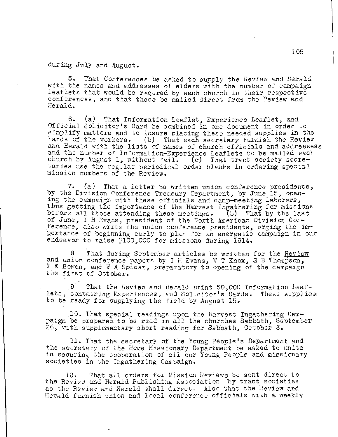during July and August.

5. That Conferences be asked to supply the Review and Herald with the names and addresses of elders with the number of campaign leaflets that would be requred by each church in their respective conferences, and that these be mailed direct from the Review and Herald.

6. (a) That Information Leaflet, Experience Leaflet, and Official Solicitor's Card be combined in one document in order to simplify matters and to insure placing these needed supplies in the hands of the workers. (b) That each secretary furnish the Review and Herald with the lists of names of church officials and addressess and the number of Information-Experience Leaflets to be mailed each church by August 1, without fail. (c) That tract society secretaries use the regular periodical order blanks in ordering special mission numbers of the Review.

7. (a) That a letter be written union conference presidents, by the Division Conference Treasury Department, by June 15, opening the campaign with these officials and camp-meeting laborers, thus getting the importance of the Harvest Ingathering for missions before all those attending these meetings. (b) That by the last of June, I H Evans, president of the North American Division Conference, also write the union conference presidents, urging the importance of beginning early to plan for an energetic campaign in our endeavor to raise  $\text{\textdegree{100}}$ ,000 for missions during 1914.

That during September articles be written for the Review and union conference papers by I H Evans, W T Knox, G B Thompson, T E Bowen, and W A Spicer, preparatory to opening of the campaign the first of October.

9 That the Review and Herald print 50,000 Information Leaf-<br>containing Experiences, and Solicitor's Cards. These supplies lets, containing Experiences, and Solicitor's Cards. to be ready for supplying the field by August 15.

.10. That special readings upon the Harvest Ingathering Campaign be prepared to be read in all the churches Sabbath, September 26, with supplementary short reading for Sabbath, October 3.

11. That the secretary of the Young People's Department and the secretary of the Home Missionary Department be asked to unite in securing the cooperation of all our Young People and missionary societies in the Ingathering Campaign.

12. That all orders for Mission Reviews be sent direct to the Review and Herald Publishing Association by tract societies as the Review and Herald shall direct. Also that the Review and Herald furnish union and local conference officials with a weekly